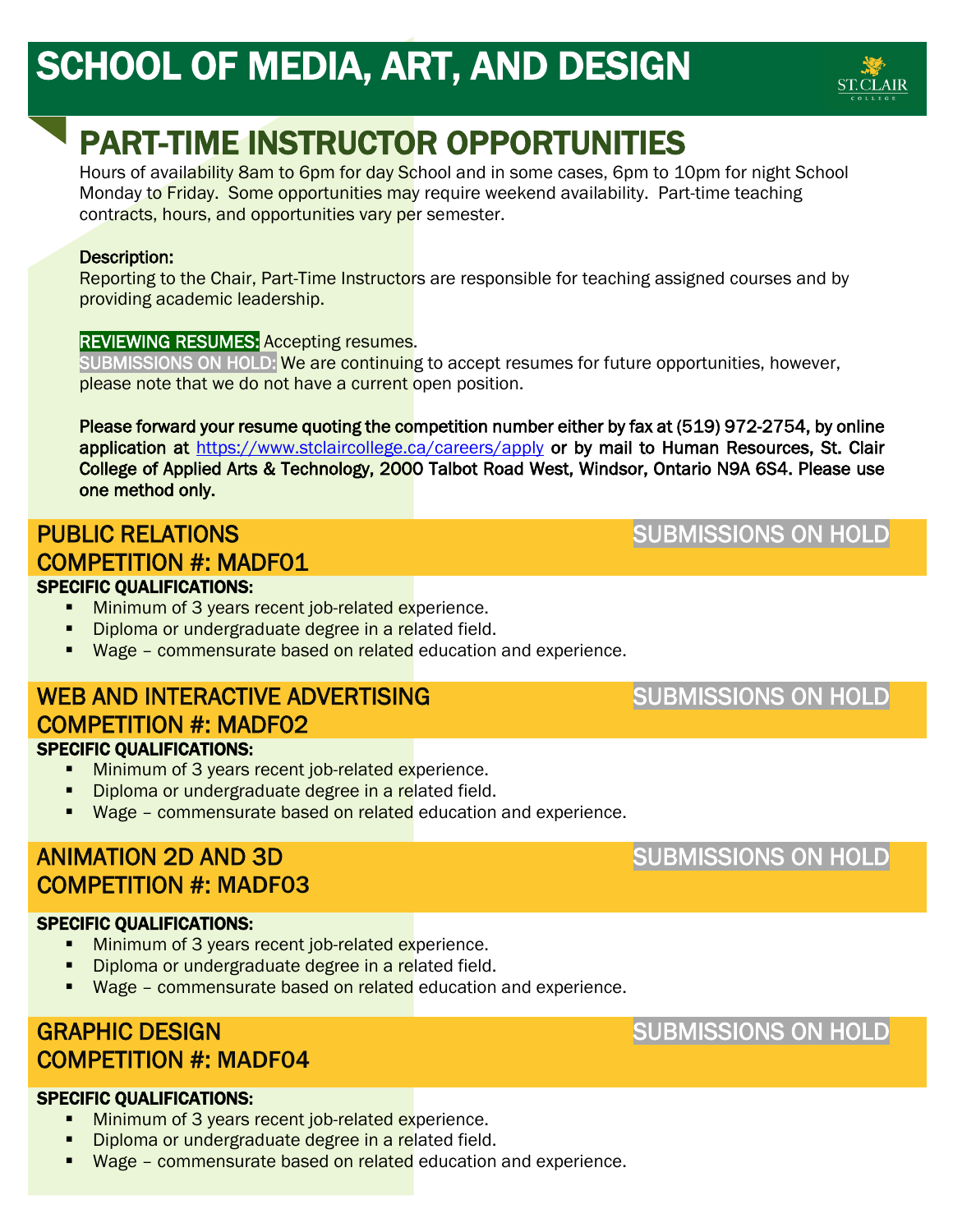

# PART-TIME INSTRUCTOR OPPORTUNITIES

Hours of availability 8am to 6pm for day School and in some cases, 6pm to 10pm for night School Monday to Friday. Some opportunities may require weekend availability. Part-time teaching contracts, hours, and opportunities vary per semester.

#### Description:

Reporting to the Chair, Part-Time Instructors are responsible for teaching assigned courses and by providing academic leadership.

#### REVIEWING RESUMES: Accepting resumes.

SUBMISSIONS ON HOLD: We are continuing to accept resumes for future opportunities, however, please note that we do not have a current open position.

Please forward your resume quoting the competition number either by fax at (519) 972-2754, by online application at<https://www.stclaircollege.ca/careers/apply>or by mail to Human Resources, St. Clair College of Applied Arts & Technology, 2000 Talbot Road West, Windsor, Ontario N9A 6S4. Please use one method only.

### PUBLIC RELATIONS COMPETITION #: MADF01 ֦

SUBMISSIONS ON HOLD

#### SPECIFIC QUALIFICATIONS:

- **Minimum of 3 years recent job-related experience.**
- Diploma or undergraduate degree in a related field.
- **Wage commensurate based on related** education and experience.

#### WEB AND INTERACTIVE ADVERTISING COMPETITION #: MADF02 SPECIFIC QUALIFICATIONS:

- **Minimum of 3 years recent job-related experience.**
- Diploma or undergraduate degree in a related field.
- **Wage commensurate based on related** education and experience.

#### ANIMATION 2D AND 3D COMPETITION #: MADF03

#### SPECIFIC QUALIFICATIONS:

- **Minimum of 3 years recent job-related experience.**
- Diploma or undergraduate degree in a related field.
- **Wage commensurate based on related** education and experience.

#### GRAPHIC DESIGN COMPETITION #: MADF04

#### SUBMISSIONS ON HOLD

#### SPECIFIC QUALIFICATIONS:

- **Minimum of 3 years recent job-related experience.**
- Diploma or undergraduate degree in a related field.
- **Wage commensurate based on related** education and experience.

#### SUBMISSIONS ON HOLD

SUBMISSIONS ON HOLD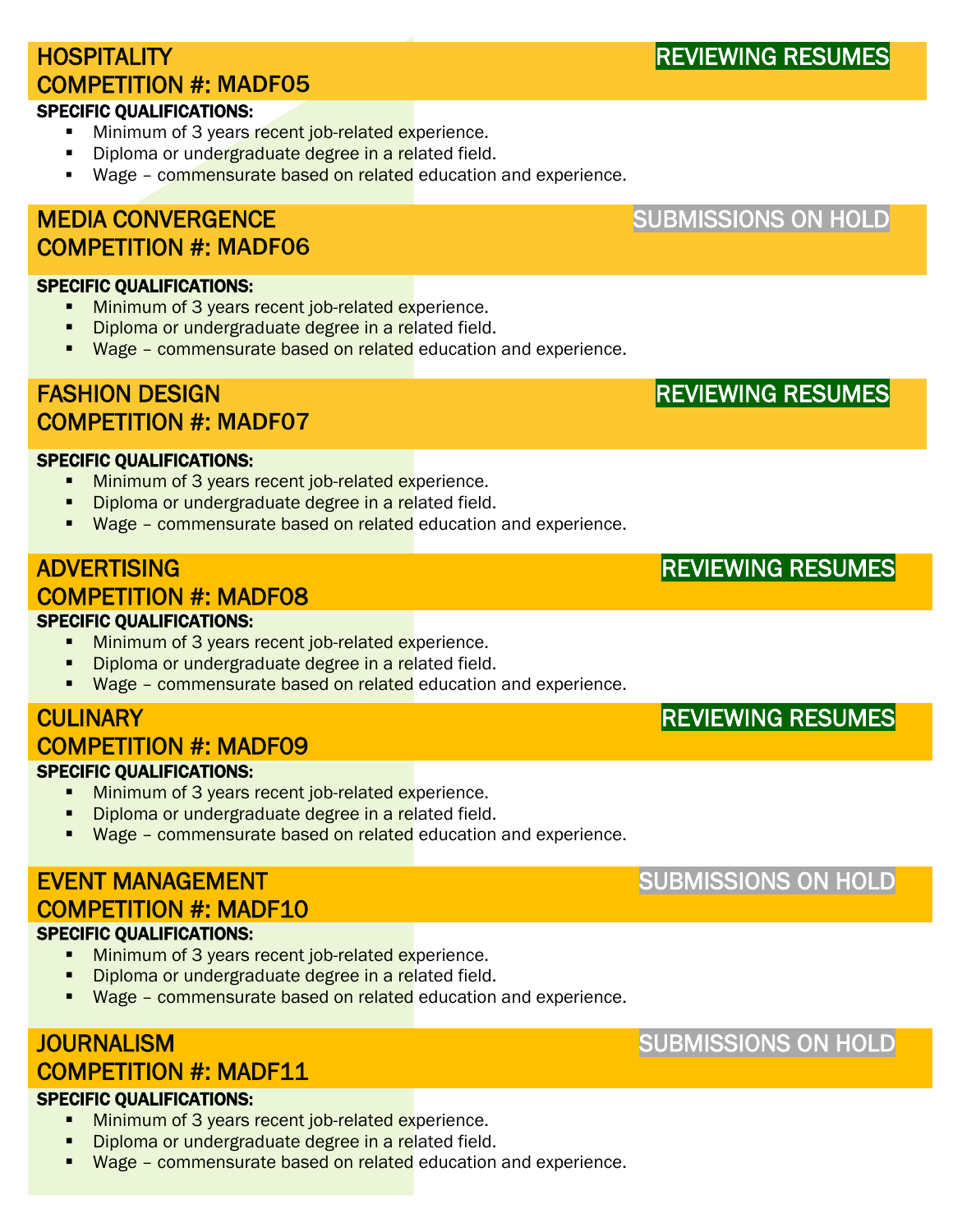# HOSPITALITY COMPETITION #: MADF05

#### SPECIFIC QUALIFICATIONS:

- **Minimum of 3 years recent job-related experience.**
- Diploma or undergraduate degree in a related field.
- Wage commensurate based on related education and experience.

### MEDIA CONVERGENCE COMPETITION #: MADF06

- **Minimum of 3 years recent job-related experience.**
- Diploma or undergraduate degree in a related field.
- **Wage commensurate based on related** education and experience.

## FASHION DESIGN COMPETITION #: MADF07

- **Minimum of 3 years recent job-related experience.**
- Diploma or undergraduate degree in a related field.
- **Wage commensurate based on related** education and experience.

#### ADVERTISING COMPETITION #: MADF08 SPECIFIC QUALIFICATIONS:

- **Minimum of 3 years recent job-related experience.**
- Diploma or undergraduate degree in a related field.
- **Wage commensurate based on related** education and experience.

#### **CULINARY** COMPETITION #: MADF09 SPECIFIC QUALIFICATIONS:

- **Minimum of 3 years recent job-related experience.**
- Diploma or undergraduate degree in a related field.
- **Wage commensurate based on related** education and experience.

#### EVENT MANAGEMENT COMPETITION #: MADF10 SPECIFIC QUALIFICATIONS:

- **Minimum of 3 years recent job-related experience.**
- Diploma or undergraduate degree in a related field.
- **Wage commensurate based on related** education and experience.

#### **JOURNALISM** COMPETITION #: MADF11

#### SPECIFIC QUALIFICATIONS:

- **Minimum of 3 years recent job-related experience.**
- Diploma or undergraduate degree in a related field.
- **Wage commensurate based on related** education and experience.

# SUBMISSIONS ON HOLD

# REVIEWING RESUMES

# SUBMISSIONS ON HOLD

SUBMISSIONS ON HOLD

# SPECIFIC QUALIFICATIONS:

# SPECIFIC QUALIFICATIONS:

REVIEWING RESUMES

# REVIEWING RESUMES

REVIEWING RESUMES